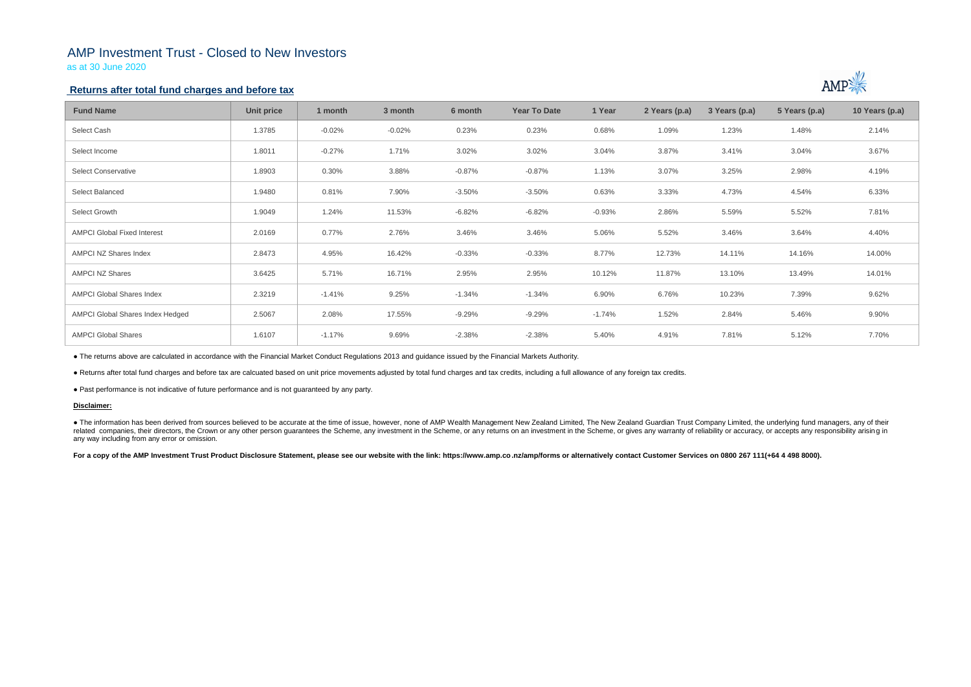## AMP Investment Trust - Closed to New Investors

as at 30 June 2020

## **Returns after total fund charges and before tax**

| <b>Fund Name</b>                   | Unit price | 1 month  | 3 month  | 6 month  | <b>Year To Date</b> | 1 Year   | 2 Years (p.a) | 3 Years (p.a) | 5 Years (p.a) | 10 Years (p.a) |
|------------------------------------|------------|----------|----------|----------|---------------------|----------|---------------|---------------|---------------|----------------|
| Select Cash                        | 1.3785     | $-0.02%$ | $-0.02%$ | 0.23%    | 0.23%               | 0.68%    | 1.09%         | 1.23%         | 1.48%         | 2.14%          |
| Select Income                      | 1.8011     | $-0.27%$ | 1.71%    | 3.02%    | 3.02%               | 3.04%    | 3.87%         | 3.41%         | 3.04%         | 3.67%          |
| <b>Select Conservative</b>         | 1.8903     | 0.30%    | 3.88%    | $-0.87%$ | $-0.87%$            | 1.13%    | 3.07%         | 3.25%         | 2.98%         | 4.19%          |
| Select Balanced                    | 1.9480     | 0.81%    | 7.90%    | $-3.50%$ | $-3.50%$            | 0.63%    | 3.33%         | 4.73%         | 4.54%         | 6.33%          |
| Select Growth                      | 1.9049     | 1.24%    | 11.53%   | $-6.82%$ | $-6.82%$            | $-0.93%$ | 2.86%         | 5.59%         | 5.52%         | 7.81%          |
| <b>AMPCI Global Fixed Interest</b> | 2.0169     | 0.77%    | 2.76%    | 3.46%    | 3.46%               | 5.06%    | 5.52%         | 3.46%         | 3.64%         | 4.40%          |
| <b>AMPCI NZ Shares Index</b>       | 2.8473     | 4.95%    | 16.42%   | $-0.33%$ | $-0.33%$            | 8.77%    | 12.73%        | 14.11%        | 14.16%        | 14.00%         |
| <b>AMPCI NZ Shares</b>             | 3.6425     | 5.71%    | 16.71%   | 2.95%    | 2.95%               | 10.12%   | 11.87%        | 13.10%        | 13.49%        | 14.01%         |
| <b>AMPCI Global Shares Index</b>   | 2.3219     | $-1.41%$ | 9.25%    | $-1.34%$ | $-1.34%$            | 6.90%    | 6.76%         | 10.23%        | 7.39%         | 9.62%          |
| AMPCI Global Shares Index Hedged   | 2.5067     | 2.08%    | 17.55%   | $-9.29%$ | $-9.29%$            | $-1.74%$ | 1.52%         | 2.84%         | 5.46%         | 9.90%          |
| <b>AMPCI Global Shares</b>         | 1.6107     | $-1.17%$ | 9.69%    | $-2.38%$ | $-2.38%$            | 5.40%    | 4.91%         | 7.81%         | 5.12%         | 7.70%          |

• The information has been derived from sources believed to be accurate at the time of issue, however, none of AMP Wealth Management New Zealand Limited, The New Zealand Guardian Trust Company Limited, the underlying fund related companies, their directors, the Crown or any other person quarantees the Scheme, any investment in the Scheme, or any returns on an investment in the Scheme, or gives any warranty of reliability or accuracy, or acc any way including from any error or omission.

For a copy of the AMP Investment Trust Product Disclosure Statement, please see our website with the link: https://www.amp.co.nz/amp/forms or alternatively contact Customer Services on 0800 267 111(+64 4 498 8000).



● The returns above are calculated in accordance with the Financial Market Conduct Regulations 2013 and guidance issued by the Financial Markets Authority.

● Returns after total fund charges and before tax are calcuated based on unit price movements adjusted by total fund charges and tax credits, including a full allowance of any foreign tax credits.

● Past performance is not indicative of future performance and is not guaranteed by any party.

### **Disclaimer:**